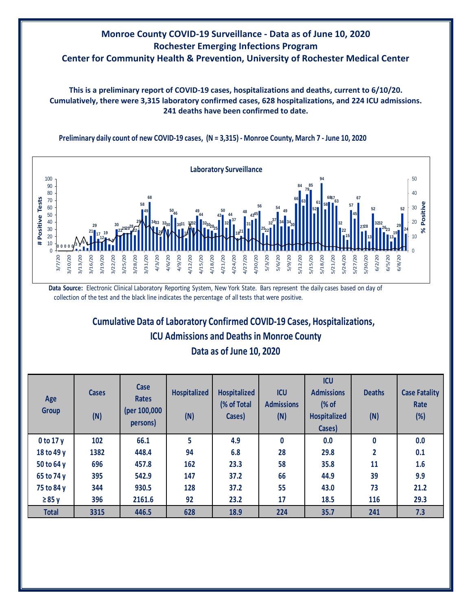## **Monroe County COVID-19 Surveillance - Data as of June 10, 2020 Rochester Emerging Infections Program Center for Community Health & Prevention, University of Rochester Medical Center**

**This is a preliminary report of COVID-19 cases, hospitalizations and deaths, current to 6/10/20. Cumulatively, there were 3,315 laboratory confirmed cases, 628 hospitalizations, and 224 ICU admissions. 241 deaths have been confirmed to date.**



**13**

**13 13**

**Preliminary daily count of new COVID-19 cases, (N = 3,315) - Monroe County, March 7 - June 10, 2020**

**Data Source:** Electronic Clinical Laboratory Reporting System, New York State. Bars represent the daily cases based on day of collection of the test and the black line indicates the percentage of all tests that were positive.

## **Cumulative Data of Laboratory Confirmed COVID-19 Cases, Hospitalizations, ICU Admissions and Deaths in Monroe County**

|  |  |  | Data as of June 10, 2020 |  |
|--|--|--|--------------------------|--|
|  |  |  |                          |  |

| Age<br><b>Group</b> | <b>Cases</b><br>(N) | Case<br><b>Rates</b><br>(per 100,000<br>persons) | <b>Hospitalized</b><br>(N) | <b>Hospitalized</b><br>(% of Total<br>Cases) | <b>ICU</b><br><b>Admissions</b><br>(N) | <b>ICU</b><br><b>Admissions</b><br>(% of<br><b>Hospitalized</b><br>Cases) | <b>Deaths</b><br>(N) | <b>Case Fatality</b><br>Rate<br>(%) |
|---------------------|---------------------|--------------------------------------------------|----------------------------|----------------------------------------------|----------------------------------------|---------------------------------------------------------------------------|----------------------|-------------------------------------|
| $0$ to 17 $y$       | 102                 | 66.1                                             | 5                          | 4.9                                          | 0                                      | 0.0                                                                       | 0                    | 0.0                                 |
| 18 to 49 y          | 1382                | 448.4                                            | 94                         | 6.8                                          | 28                                     | 29.8                                                                      | $\overline{2}$       | 0.1                                 |
| 50 to 64 y          | 696                 | 457.8                                            | 162                        | 23.3                                         | 58                                     | 35.8                                                                      | 11                   | 1.6                                 |
| 65 to 74 y          | 395                 | 542.9                                            | 147                        | 37.2                                         | 66                                     | 44.9                                                                      | 39                   | 9.9                                 |
| 75 to 84 y          | 344                 | 930.5                                            | 128                        | 37.2                                         | 55                                     | 43.0                                                                      | 73                   | 21.2                                |
| $\geq 85$ y         | 396                 | 2161.6                                           | 92                         | 23.2                                         | 17                                     | 18.5                                                                      | 116                  | 29.3                                |
| <b>Total</b>        | 3315                | 446.5                                            | 628                        | 18.9                                         | 224                                    | 35.7                                                                      | 241                  | 7.3                                 |